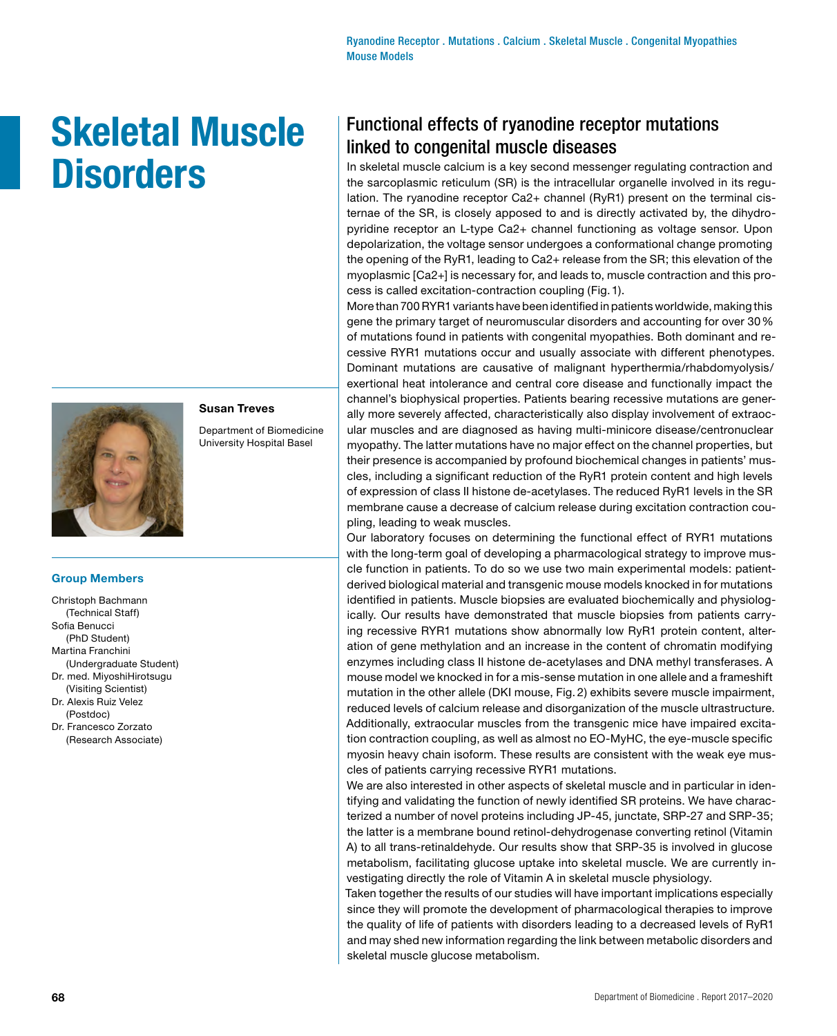# **Skeletal Muscle Disorders**



### **Susan Treves**

Department of Biomedicine University Hospital Basel

#### **Group Members**

- Christoph Bachmann (Technical Staff) Sofia Benucci (PhD Student) Martina Franchini (Undergraduate Student) Dr. med. MiyoshiHirotsugu (Visiting Scientist) Dr. Alexis Ruiz Velez (Postdoc)
- Dr. Francesco Zorzato (Research Associate)

## Functional effects of ryanodine receptor mutations linked to congenital muscle diseases

In skeletal muscle calcium is a key second messenger regulating contraction and the sarcoplasmic reticulum (SR) is the intracellular organelle involved in its regulation. The ryanodine receptor Ca2+ channel (RyR1) present on the terminal cisternae of the SR, is closely apposed to and is directly activated by, the dihydropyridine receptor an L-type Ca2+ channel functioning as voltage sensor. Upon depolarization, the voltage sensor undergoes a conformational change promoting the opening of the RyR1, leading to Ca2+ release from the SR; this elevation of the myoplasmic [Ca2+] is necessary for, and leads to, muscle contraction and this process is called excitation-contraction coupling (Fig.1).

More than 700 RYR1 variants have been identified in patients worldwide, making this gene the primary target of neuromuscular disorders and accounting for over 30% of mutations found in patients with congenital myopathies. Both dominant and recessive RYR1 mutations occur and usually associate with different phenotypes. Dominant mutations are causative of malignant hyperthermia/rhabdomyolysis/ exertional heat intolerance and central core disease and functionally impact the channel's biophysical properties. Patients bearing recessive mutations are generally more severely affected, characteristically also display involvement of extraocular muscles and are diagnosed as having multi-minicore disease/centronuclear myopathy. The latter mutations have no major effect on the channel properties, but their presence is accompanied by profound biochemical changes in patients' muscles, including a significant reduction of the RyR1 protein content and high levels of expression of class II histone de-acetylases. The reduced RyR1 levels in the SR membrane cause a decrease of calcium release during excitation contraction coupling, leading to weak muscles.

Our laboratory focuses on determining the functional effect of RYR1 mutations with the long-term goal of developing a pharmacological strategy to improve muscle function in patients. To do so we use two main experimental models: patientderived biological material and transgenic mouse models knocked in for mutations identified in patients. Muscle biopsies are evaluated biochemically and physiologically. Our results have demonstrated that muscle biopsies from patients carrying recessive RYR1 mutations show abnormally low RyR1 protein content, alteration of gene methylation and an increase in the content of chromatin modifying enzymes including class II histone de-acetylases and DNA methyl transferases. A mouse model we knocked in for a mis-sense mutation in one allele and a frameshift mutation in the other allele (DKI mouse, Fig. 2) exhibits severe muscle impairment, reduced levels of calcium release and disorganization of the muscle ultrastructure. Additionally, extraocular muscles from the transgenic mice have impaired excitation contraction coupling, as well as almost no EO-MyHC, the eye-muscle specific myosin heavy chain isoform. These results are consistent with the weak eye muscles of patients carrying recessive RYR1 mutations.

We are also interested in other aspects of skeletal muscle and in particular in identifying and validating the function of newly identified SR proteins. We have characterized a number of novel proteins including JP-45, junctate, SRP-27 and SRP-35; the latter is a membrane bound retinol-dehydrogenase converting retinol (Vitamin A) to all trans-retinaldehyde. Our results show that SRP-35 is involved in glucose metabolism, facilitating glucose uptake into skeletal muscle. We are currently investigating directly the role of Vitamin A in skeletal muscle physiology.

Taken together the results of our studies will have important implications especially since they will promote the development of pharmacological therapies to improve the quality of life of patients with disorders leading to a decreased levels of RyR1 and may shed new information regarding the link between metabolic disorders and skeletal muscle glucose metabolism.